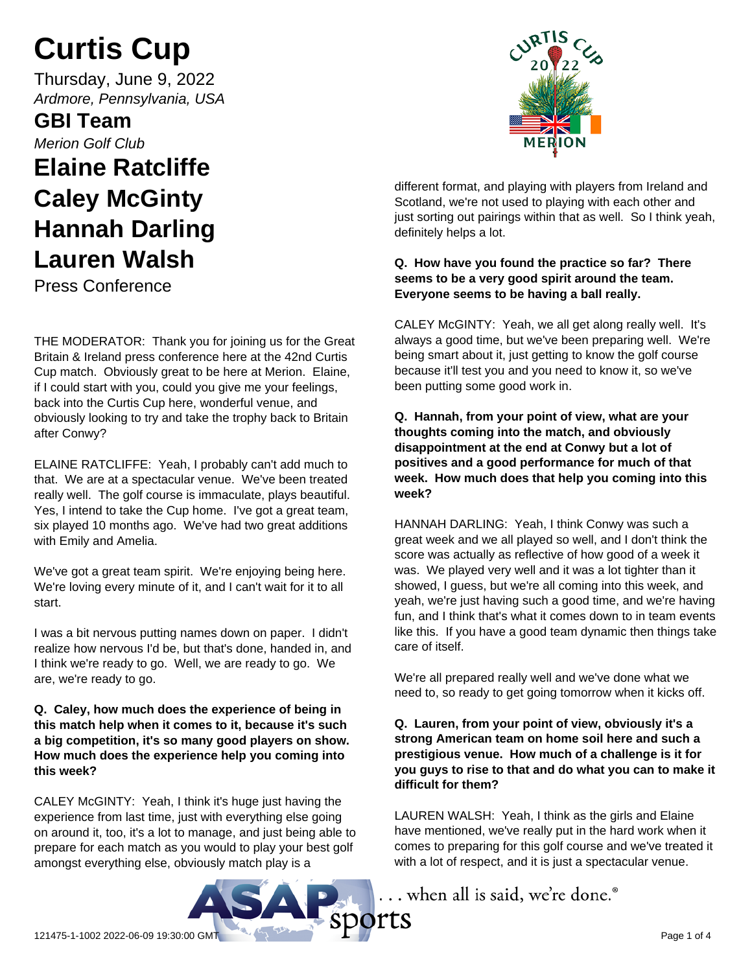# **Curtis Cup**

Thursday, June 9, 2022 *Ardmore, Pennsylvania, USA*

**GBI Team**

*Merion Golf Club*

# **Elaine Ratcliffe Caley McGinty Hannah Darling Lauren Walsh**

Press Conference

THE MODERATOR: Thank you for joining us for the Great Britain & Ireland press conference here at the 42nd Curtis Cup match. Obviously great to be here at Merion. Elaine, if I could start with you, could you give me your feelings, back into the Curtis Cup here, wonderful venue, and obviously looking to try and take the trophy back to Britain after Conwy?

ELAINE RATCLIFFE: Yeah, I probably can't add much to that. We are at a spectacular venue. We've been treated really well. The golf course is immaculate, plays beautiful. Yes, I intend to take the Cup home. I've got a great team, six played 10 months ago. We've had two great additions with Emily and Amelia.

We've got a great team spirit. We're enjoying being here. We're loving every minute of it, and I can't wait for it to all start.

I was a bit nervous putting names down on paper. I didn't realize how nervous I'd be, but that's done, handed in, and I think we're ready to go. Well, we are ready to go. We are, we're ready to go.

# **Q. Caley, how much does the experience of being in this match help when it comes to it, because it's such a big competition, it's so many good players on show. How much does the experience help you coming into this week?**

CALEY McGINTY: Yeah, I think it's huge just having the experience from last time, just with everything else going on around it, too, it's a lot to manage, and just being able to prepare for each match as you would to play your best golf amongst everything else, obviously match play is a



different format, and playing with players from Ireland and Scotland, we're not used to playing with each other and just sorting out pairings within that as well. So I think yeah, definitely helps a lot.

# **Q. How have you found the practice so far? There seems to be a very good spirit around the team. Everyone seems to be having a ball really.**

CALEY McGINTY: Yeah, we all get along really well. It's always a good time, but we've been preparing well. We're being smart about it, just getting to know the golf course because it'll test you and you need to know it, so we've been putting some good work in.

# **Q. Hannah, from your point of view, what are your thoughts coming into the match, and obviously disappointment at the end at Conwy but a lot of positives and a good performance for much of that week. How much does that help you coming into this week?**

HANNAH DARLING: Yeah, I think Conwy was such a great week and we all played so well, and I don't think the score was actually as reflective of how good of a week it was. We played very well and it was a lot tighter than it showed, I guess, but we're all coming into this week, and yeah, we're just having such a good time, and we're having fun, and I think that's what it comes down to in team events like this. If you have a good team dynamic then things take care of itself.

We're all prepared really well and we've done what we need to, so ready to get going tomorrow when it kicks off.

**Q. Lauren, from your point of view, obviously it's a strong American team on home soil here and such a prestigious venue. How much of a challenge is it for you guys to rise to that and do what you can to make it difficult for them?**

LAUREN WALSH: Yeah, I think as the girls and Elaine have mentioned, we've really put in the hard work when it comes to preparing for this golf course and we've treated it with a lot of respect, and it is just a spectacular venue.

.. when all is said, we're done.®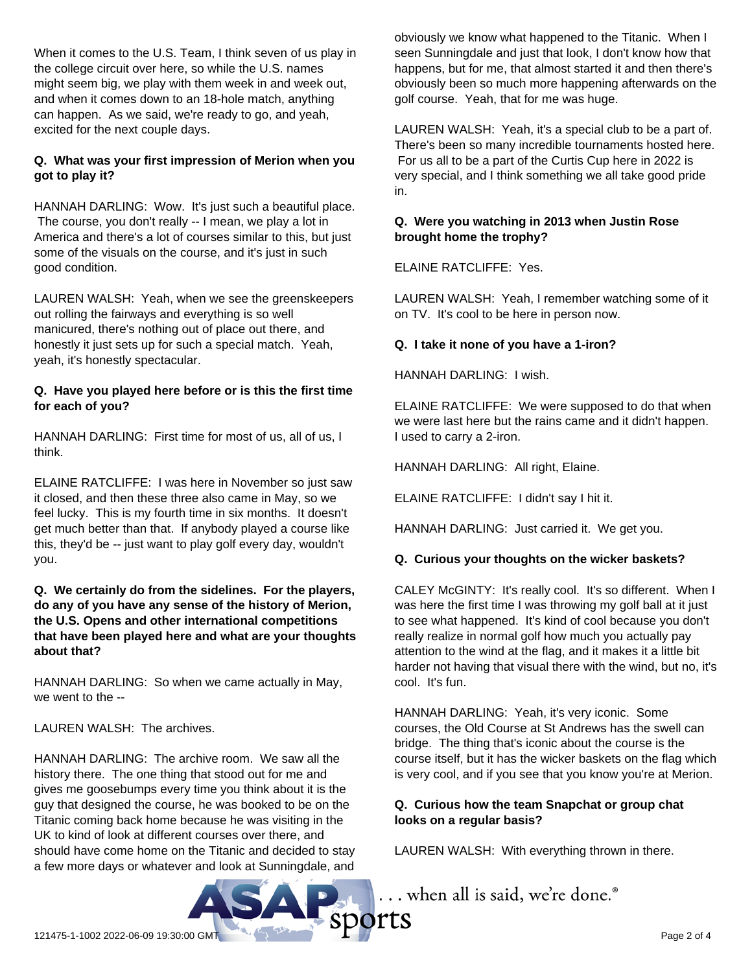When it comes to the U.S. Team, I think seven of us play in the college circuit over here, so while the U.S. names might seem big, we play with them week in and week out, and when it comes down to an 18-hole match, anything can happen. As we said, we're ready to go, and yeah, excited for the next couple days.

# **Q. What was your first impression of Merion when you got to play it?**

HANNAH DARLING: Wow. It's just such a beautiful place. The course, you don't really -- I mean, we play a lot in America and there's a lot of courses similar to this, but just some of the visuals on the course, and it's just in such good condition.

LAUREN WALSH: Yeah, when we see the greenskeepers out rolling the fairways and everything is so well manicured, there's nothing out of place out there, and honestly it just sets up for such a special match. Yeah, yeah, it's honestly spectacular.

# **Q. Have you played here before or is this the first time for each of you?**

HANNAH DARLING: First time for most of us, all of us, I think.

ELAINE RATCLIFFE: I was here in November so just saw it closed, and then these three also came in May, so we feel lucky. This is my fourth time in six months. It doesn't get much better than that. If anybody played a course like this, they'd be -- just want to play golf every day, wouldn't you.

#### **Q. We certainly do from the sidelines. For the players, do any of you have any sense of the history of Merion, the U.S. Opens and other international competitions that have been played here and what are your thoughts about that?**

HANNAH DARLING: So when we came actually in May, we went to the --

LAUREN WALSH: The archives.

HANNAH DARLING: The archive room. We saw all the history there. The one thing that stood out for me and gives me goosebumps every time you think about it is the guy that designed the course, he was booked to be on the Titanic coming back home because he was visiting in the UK to kind of look at different courses over there, and should have come home on the Titanic and decided to stay a few more days or whatever and look at Sunningdale, and obviously we know what happened to the Titanic. When I seen Sunningdale and just that look, I don't know how that happens, but for me, that almost started it and then there's obviously been so much more happening afterwards on the golf course. Yeah, that for me was huge.

LAUREN WALSH: Yeah, it's a special club to be a part of. There's been so many incredible tournaments hosted here. For us all to be a part of the Curtis Cup here in 2022 is very special, and I think something we all take good pride in.

# **Q. Were you watching in 2013 when Justin Rose brought home the trophy?**

ELAINE RATCLIFFE: Yes.

LAUREN WALSH: Yeah, I remember watching some of it on TV. It's cool to be here in person now.

# **Q. I take it none of you have a 1-iron?**

HANNAH DARLING: I wish.

ELAINE RATCLIFFE: We were supposed to do that when we were last here but the rains came and it didn't happen. I used to carry a 2-iron.

HANNAH DARLING: All right, Elaine.

ELAINE RATCLIFFE: I didn't say I hit it.

HANNAH DARLING: Just carried it. We get you.

# **Q. Curious your thoughts on the wicker baskets?**

CALEY McGINTY: It's really cool. It's so different. When I was here the first time I was throwing my golf ball at it just to see what happened. It's kind of cool because you don't really realize in normal golf how much you actually pay attention to the wind at the flag, and it makes it a little bit harder not having that visual there with the wind, but no, it's cool. It's fun.

HANNAH DARLING: Yeah, it's very iconic. Some courses, the Old Course at St Andrews has the swell can bridge. The thing that's iconic about the course is the course itself, but it has the wicker baskets on the flag which is very cool, and if you see that you know you're at Merion.

# **Q. Curious how the team Snapchat or group chat looks on a regular basis?**

LAUREN WALSH: With everything thrown in there.



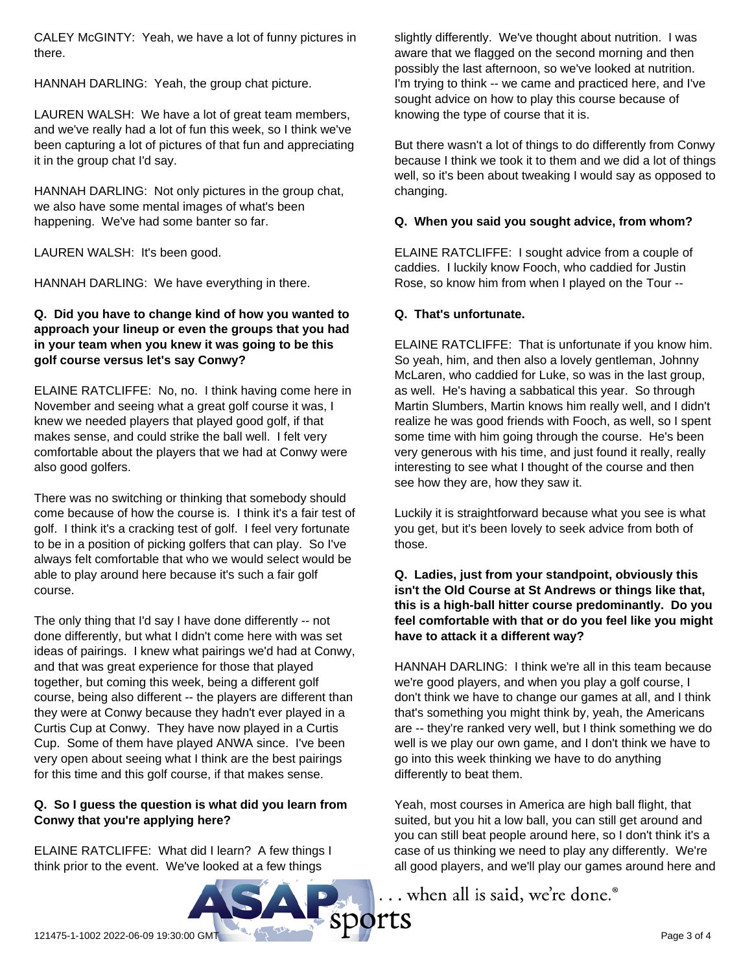CALEY McGINTY: Yeah, we have a lot of funny pictures in there.

HANNAH DARLING: Yeah, the group chat picture.

LAUREN WALSH: We have a lot of great team members, and we've really had a lot of fun this week, so I think we've been capturing a lot of pictures of that fun and appreciating it in the group chat I'd say.

HANNAH DARLING: Not only pictures in the group chat, we also have some mental images of what's been happening. We've had some banter so far.

LAUREN WALSH: It's been good.

HANNAH DARLING: We have everything in there.

# **Q. Did you have to change kind of how you wanted to approach your lineup or even the groups that you had in your team when you knew it was going to be this golf course versus let's say Conwy?**

ELAINE RATCLIFFE: No, no. I think having come here in November and seeing what a great golf course it was, I knew we needed players that played good golf, if that makes sense, and could strike the ball well. I felt very comfortable about the players that we had at Conwy were also good golfers.

There was no switching or thinking that somebody should come because of how the course is. I think it's a fair test of golf. I think it's a cracking test of golf. I feel very fortunate to be in a position of picking golfers that can play. So I've always felt comfortable that who we would select would be able to play around here because it's such a fair golf course.

The only thing that I'd say I have done differently -- not done differently, but what I didn't come here with was set ideas of pairings. I knew what pairings we'd had at Conwy, and that was great experience for those that played together, but coming this week, being a different golf course, being also different -- the players are different than they were at Conwy because they hadn't ever played in a Curtis Cup at Conwy. They have now played in a Curtis Cup. Some of them have played ANWA since. I've been very open about seeing what I think are the best pairings for this time and this golf course, if that makes sense.

# **Q. So I guess the question is what did you learn from Conwy that you're applying here?**

ELAINE RATCLIFFE: What did I learn? A few things I think prior to the event. We've looked at a few things

slightly differently. We've thought about nutrition. I was aware that we flagged on the second morning and then possibly the last afternoon, so we've looked at nutrition. I'm trying to think -- we came and practiced here, and I've sought advice on how to play this course because of knowing the type of course that it is.

But there wasn't a lot of things to do differently from Conwy because I think we took it to them and we did a lot of things well, so it's been about tweaking I would say as opposed to changing.

# **Q. When you said you sought advice, from whom?**

ELAINE RATCLIFFE: I sought advice from a couple of caddies. I luckily know Fooch, who caddied for Justin Rose, so know him from when I played on the Tour --

# **Q. That's unfortunate.**

ELAINE RATCLIFFE: That is unfortunate if you know him. So yeah, him, and then also a lovely gentleman, Johnny McLaren, who caddied for Luke, so was in the last group, as well. He's having a sabbatical this year. So through Martin Slumbers, Martin knows him really well, and I didn't realize he was good friends with Fooch, as well, so I spent some time with him going through the course. He's been very generous with his time, and just found it really, really interesting to see what I thought of the course and then see how they are, how they saw it.

Luckily it is straightforward because what you see is what you get, but it's been lovely to seek advice from both of those.

# **Q. Ladies, just from your standpoint, obviously this isn't the Old Course at St Andrews or things like that, this is a high-ball hitter course predominantly. Do you feel comfortable with that or do you feel like you might have to attack it a different way?**

HANNAH DARLING: I think we're all in this team because we're good players, and when you play a golf course, I don't think we have to change our games at all, and I think that's something you might think by, yeah, the Americans are -- they're ranked very well, but I think something we do well is we play our own game, and I don't think we have to go into this week thinking we have to do anything differently to beat them.

Yeah, most courses in America are high ball flight, that suited, but you hit a low ball, you can still get around and you can still beat people around here, so I don't think it's a case of us thinking we need to play any differently. We're all good players, and we'll play our games around here and

... when all is said, we're done.<sup>®</sup>